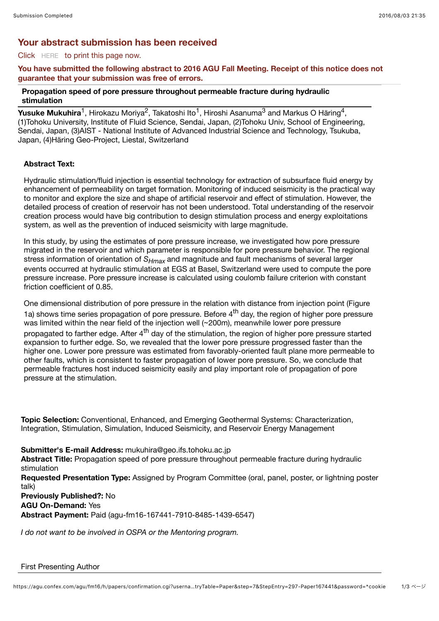# **Your abstract submission has been received**

### Click HERE to print this page now.

## **You have submitted the following abstract to 2016 AGU Fall Meeting. Receipt of this notice does not guarantee that your submission was free of errors.**

### **Propagation speed of pore pressure throughout permeable fracture during hydraulic stimulation**

**Yusuke Mukuhira**<sup>1</sup>, Hirokazu Moriya<sup>2</sup>, Takatoshi Ito<sup>1</sup>, Hiroshi Asanuma<sup>3</sup> and Markus O Häring<sup>4</sup>, (1)Tohoku University, Institute of Fluid Science, Sendai, Japan, (2)Tohoku Univ, School of Engineering, Sendai, Japan, (3)AIST - National Institute of Advanced Industrial Science and Technology, Tsukuba, Japan, (4)Häring Geo-Project, Liestal, Switzerland

### **Abstract Text:**

Hydraulic stimulation/fluid injection is essential technology for extraction of subsurface fluid energy by enhancement of permeability on target formation. Monitoring of induced seismicity is the practical way to monitor and explore the size and shape of artificial reservoir and effect of stimulation. However, the detailed process of creation of reservoir has not been understood. Total understanding of the reservoir creation process would have big contribution to design stimulation process and energy exploitations system, as well as the prevention of induced seismicity with large magnitude.

In this study, by using the estimates of pore pressure increase, we investigated how pore pressure migrated in the reservoir and which parameter is responsible for pore pressure behavior. The regional stress information of orientation of *SHmax* and magnitude and fault mechanisms of several larger events occurred at hydraulic stimulation at EGS at Basel, Switzerland were used to compute the pore pressure increase. Pore pressure increase is calculated using coulomb failure criterion with constant friction coefficient of 0.85.

One dimensional distribution of pore pressure in the relation with distance from injection point (Figure 1a) shows time series propagation of pore pressure. Before  $4<sup>th</sup>$  day, the region of higher pore pressure was limited within the near field of the injection well (~200m), meanwhile lower pore pressure propagated to farther edge. After 4<sup>th</sup> day of the stimulation, the region of higher pore pressure started expansion to further edge. So, we revealed that the lower pore pressure progressed faster than the higher one. Lower pore pressure was estimated from favorably-oriented fault plane more permeable to other faults, which is consistent to faster propagation of lower pore pressure. So, we conclude that permeable fractures host induced seismicity easily and play important role of propagation of pore pressure at the stimulation.

**Topic Selection:** Conventional, Enhanced, and Emerging Geothermal Systems: Characterization, Integration, Stimulation, Simulation, Induced Seismicity, and Reservoir Energy Management

**Submitter's E-mail Address:** mukuhira@geo.ifs.tohoku.ac.jp

**Abstract Title:** Propagation speed of pore pressure throughout permeable fracture during hydraulic stimulation

**Requested Presentation Type:** Assigned by Program Committee (oral, panel, poster, or lightning poster talk)

**Previously Published?:** No **AGU On-Demand:** Yes **Abstract Payment:** Paid (agu-fm16-167441-7910-8485-1439-6547)

*I do not want to be involved in OSPA or the Mentoring program.*

#### First Presenting Author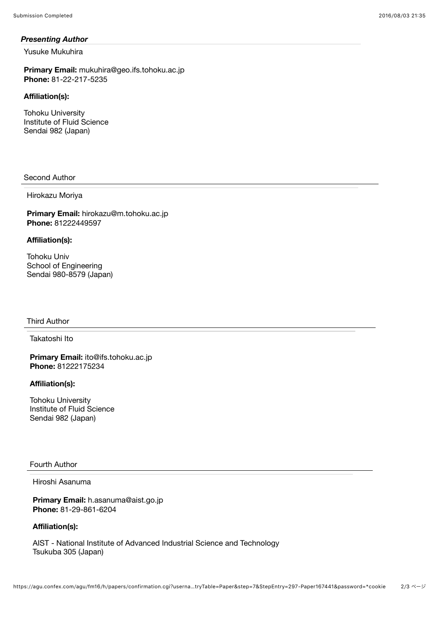#### *Presenting Author*

Yusuke Mukuhira

**Primary Email:** mukuhira@geo.ifs.tohoku.ac.jp **Phone:** 81-22-217-5235

## **Affiliation(s):**

Tohoku University Institute of Fluid Science Sendai 982 (Japan)

### Second Author

#### Hirokazu Moriya

**Primary Email:** hirokazu@m.tohoku.ac.jp **Phone:** 81222449597

#### **Affiliation(s):**

Tohoku Univ School of Engineering Sendai 980-8579 (Japan)

#### Third Author

Takatoshi Ito

**Primary Email:** ito@ifs.tohoku.ac.jp **Phone:** 81222175234

### **Affiliation(s):**

Tohoku University Institute of Fluid Science Sendai 982 (Japan)

### Fourth Author

## Hiroshi Asanuma

**Primary Email:** h.asanuma@aist.go.jp **Phone:** 81-29-861-6204

#### **Affiliation(s):**

AIST - National Institute of Advanced Industrial Science and Technology Tsukuba 305 (Japan)